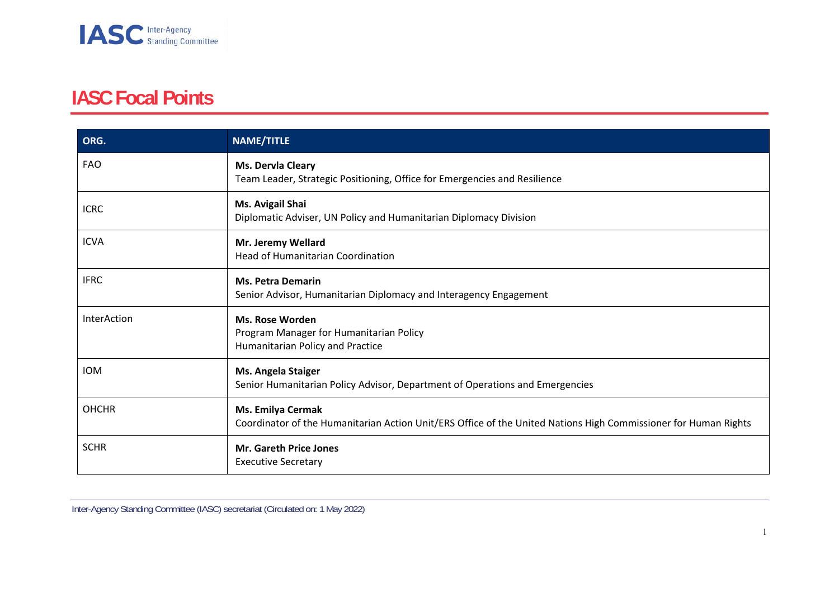

## **IASC Focal Points**

| ORG.         | <b>NAME/TITLE</b>                                                                                                                           |
|--------------|---------------------------------------------------------------------------------------------------------------------------------------------|
| <b>FAO</b>   | Ms. Dervla Cleary<br>Team Leader, Strategic Positioning, Office for Emergencies and Resilience                                              |
| <b>ICRC</b>  | Ms. Avigail Shai<br>Diplomatic Adviser, UN Policy and Humanitarian Diplomacy Division                                                       |
| <b>ICVA</b>  | Mr. Jeremy Wellard<br><b>Head of Humanitarian Coordination</b>                                                                              |
| <b>IFRC</b>  | <b>Ms. Petra Demarin</b><br>Senior Advisor, Humanitarian Diplomacy and Interagency Engagement                                               |
| InterAction  | <b>Ms. Rose Worden</b><br>Program Manager for Humanitarian Policy<br>Humanitarian Policy and Practice                                       |
| <b>IOM</b>   | Ms. Angela Staiger<br>Senior Humanitarian Policy Advisor, Department of Operations and Emergencies                                          |
| <b>OHCHR</b> | <b>Ms. Emilya Cermak</b><br>Coordinator of the Humanitarian Action Unit/ERS Office of the United Nations High Commissioner for Human Rights |
| <b>SCHR</b>  | <b>Mr. Gareth Price Jones</b><br><b>Executive Secretary</b>                                                                                 |

Inter-Agency Standing Committee (IASC) secretariat (Circulated on: 1 May 2022)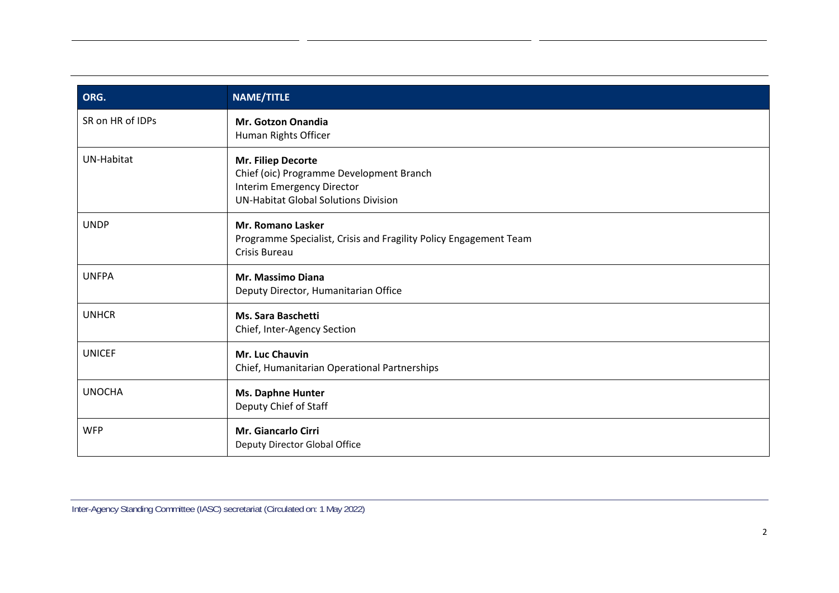| ORG.             | <b>NAME/TITLE</b>                                                                                                                           |
|------------------|---------------------------------------------------------------------------------------------------------------------------------------------|
| SR on HR of IDPs | <b>Mr. Gotzon Onandia</b><br>Human Rights Officer                                                                                           |
| UN-Habitat       | Mr. Filiep Decorte<br>Chief (oic) Programme Development Branch<br>Interim Emergency Director<br><b>UN-Habitat Global Solutions Division</b> |
| <b>UNDP</b>      | <b>Mr. Romano Lasker</b><br>Programme Specialist, Crisis and Fragility Policy Engagement Team<br>Crisis Bureau                              |
| <b>UNFPA</b>     | <b>Mr. Massimo Diana</b><br>Deputy Director, Humanitarian Office                                                                            |
| <b>UNHCR</b>     | <b>Ms. Sara Baschetti</b><br>Chief, Inter-Agency Section                                                                                    |
| <b>UNICEF</b>    | Mr. Luc Chauvin<br>Chief, Humanitarian Operational Partnerships                                                                             |
| <b>UNOCHA</b>    | Ms. Daphne Hunter<br>Deputy Chief of Staff                                                                                                  |
| <b>WFP</b>       | Mr. Giancarlo Cirri<br>Deputy Director Global Office                                                                                        |